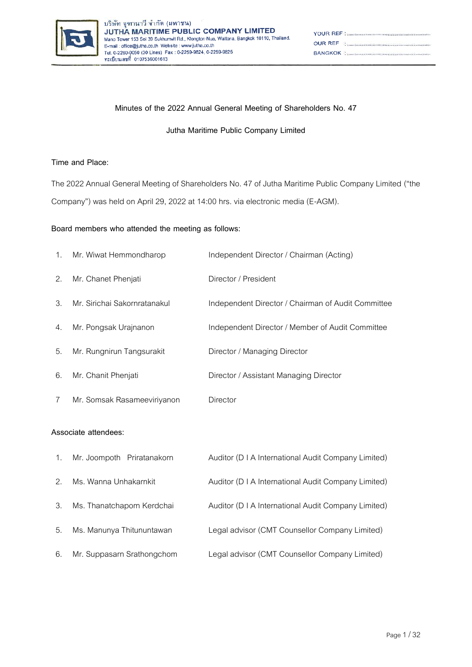

| YOUR REFINED AND CONTROLL TO A REFINED A REFINED AND REFINED A REFINED A REFINED ASSESSMENT OF THE UPPER CONTRACT OF THE UPPER CONTRACT OF THE UPPER CONTRACT OF THE UPPER CONTRACT OF THE UPPER CONTRACT OF THE UPPER CONTRAC |
|--------------------------------------------------------------------------------------------------------------------------------------------------------------------------------------------------------------------------------|
|                                                                                                                                                                                                                                |
|                                                                                                                                                                                                                                |

### **Minutes of the 2022 Annual General Meeting of Shareholders No. 47**

**Jutha Maritime Public Company Limited** 

### **Time and Place:**

The 2022 Annual General Meeting of Shareholders No. 47 of Jutha Maritime Public Company Limited ("the Company") was held on April 29, 2022 at 14:00 hrs. via electronic media (E-AGM).

#### **Board members who attended the meeting as follows:**

| 1. | Mr. Wiwat Hemmondharop       | Independent Director / Chairman (Acting)           |
|----|------------------------------|----------------------------------------------------|
| 2. | Mr. Chanet Phenjati          | Director / President                               |
| 3. | Mr. Sirichai Sakornratanakul | Independent Director / Chairman of Audit Committee |
| 4. | Mr. Pongsak Urajnanon        | Independent Director / Member of Audit Committee   |
| 5. | Mr. Rungnirun Tangsurakit    | Director / Managing Director                       |
| 6. | Mr. Chanit Phenjati          | Director / Assistant Managing Director             |
| 7  | Mr. Somsak Rasameeviriyanon  | Director                                           |

#### **Associate attendees:**

| 1. | Mr. Joompoth Priratanakorn | Auditor (D   A International Audit Company Limited) |
|----|----------------------------|-----------------------------------------------------|
| 2. | Ms. Wanna Unhakarnkit      | Auditor (D I A International Audit Company Limited) |
| 3. | Ms. Thanatchaporn Kerdchai | Auditor (D   A International Audit Company Limited) |
| 5. | Ms. Manunya Thitununtawan  | Legal advisor (CMT Counsellor Company Limited)      |
| 6. | Mr. Suppasarn Srathongchom | Legal advisor (CMT Counsellor Company Limited)      |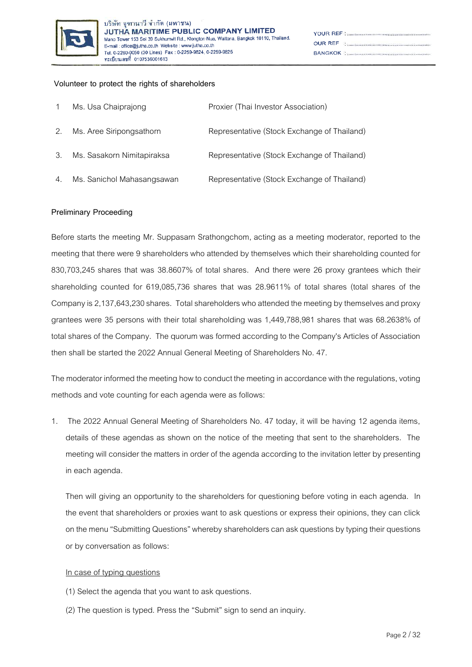

| YOUR REF : <b>www.macadoo.com/www.macadoo.</b> com/www.                                                                                                                                                                        |
|--------------------------------------------------------------------------------------------------------------------------------------------------------------------------------------------------------------------------------|
|                                                                                                                                                                                                                                |
| BANGKOK : SANGKOK SANGKOK SANGKOK SANGKOK SANGKOK SANGKOK SANGKOK SANGKOK SANGKOK SANGKOK SANGKOK SANGKOK SANGKOK SANGKOK SANGKOK SANGKOK SANGKOK SANGKOK SANGKOK SANGKOK SANGKOK SANGKOK SANGKOK SANGKOK SANGKOK SANGKOK SANG |

#### **Volunteer to protect the rights of shareholders**

|    | Ms. Usa Chaiprajong        | Proxier (Thai Investor Association)         |
|----|----------------------------|---------------------------------------------|
| 2. | Ms. Aree Siripongsathorn   | Representative (Stock Exchange of Thailand) |
| 3. | Ms. Sasakorn Nimitapiraksa | Representative (Stock Exchange of Thailand) |
| 4. | Ms. Sanichol Mahasangsawan | Representative (Stock Exchange of Thailand) |

#### **Preliminary Proceeding**

Before starts the meeting Mr. Suppasarn Srathongchom, acting as a meeting moderator, reported to the meeting that there were 9 shareholders who attended by themselves which their shareholding counted for 830,703,245 shares that was 38.8607% of total shares. And there were 26 proxy grantees which their shareholding counted for 619,085,736 shares that was 28.9611% of total shares (total shares of the Company is 2,137,643,230 shares. Total shareholders who attended the meeting by themselves and proxy grantees were 35 persons with their total shareholding was 1,449,788,981 shares that was 68.2638% of total shares of the Company. The quorum was formed according to the Company's Articles of Association then shall be started the 2022 Annual General Meeting of Shareholders No. 47.

The moderator informed the meeting how to conduct the meeting in accordance with the regulations, voting methods and vote counting for each agenda were as follows:

1. The 2022 Annual General Meeting of Shareholders No. 47 today, it will be having 12 agenda items, details of these agendas as shown on the notice of the meeting that sent to the shareholders. The meeting will consider the matters in order of the agenda according to the invitation letter by presenting in each agenda.

Then will giving an opportunity to the shareholders for questioning before voting in each agenda. In the event that shareholders or proxies want to ask questions or express their opinions, they can click on the menu "Submitting Questions" whereby shareholders can ask questions by typing their questions or by conversation as follows:

#### In case of typing questions

- (1) Select the agenda that you want to ask questions.
- (2) The question is typed. Press the "Submit" sign to send an inquiry.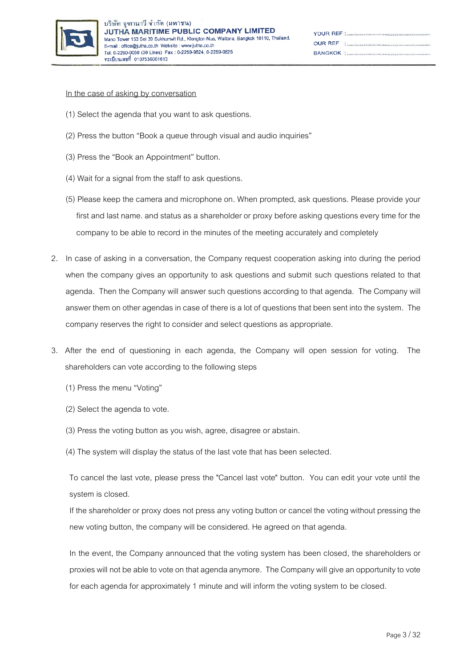

Ÿ

 $\alpha$ 

B

#### In the case of asking by conversation

- (1) Select the agenda that you want to ask questions.
- (2) Press the button "Book a queue through visual and audio inquiries"
- (3) Press the "Book an Appointment" button.
- (4) Wait for a signal from the staff to ask questions.
- (5) Please keep the camera and microphone on. When prompted, ask questions. Please provide your first and last name. and status as a shareholder or proxy before asking questions every time for the company to be able to record in the minutes of the meeting accurately and completely
- 2. In case of asking in a conversation, the Company request cooperation asking into during the period when the company gives an opportunity to ask questions and submit such questions related to that agenda. Then the Company will answer such questions according to that agenda. The Company will answer them on other agendas in case of there is a lot of questions that been sent into the system. The company reserves the right to consider and select questions as appropriate.
- 3. After the end of questioning in each agenda, the Company will open session for voting. The shareholders can vote according to the following steps
	- (1) Press the menu "Voting"
	- (2) Select the agenda to vote.
	- (3) Press the voting button as you wish, agree, disagree or abstain.
	- (4) The system will display the status of the last vote that has been selected.

To cancel the last vote, please press the "Cancel last vote" button. You can edit your vote until the system is closed.

If the shareholder or proxy does not press any voting button or cancel the voting without pressing the new voting button, the company will be considered. He agreed on that agenda.

In the event, the Company announced that the voting system has been closed, the shareholders or proxies will not be able to vote on that agenda anymore. The Company will give an opportunity to vote for each agenda for approximately 1 minute and will inform the voting system to be closed.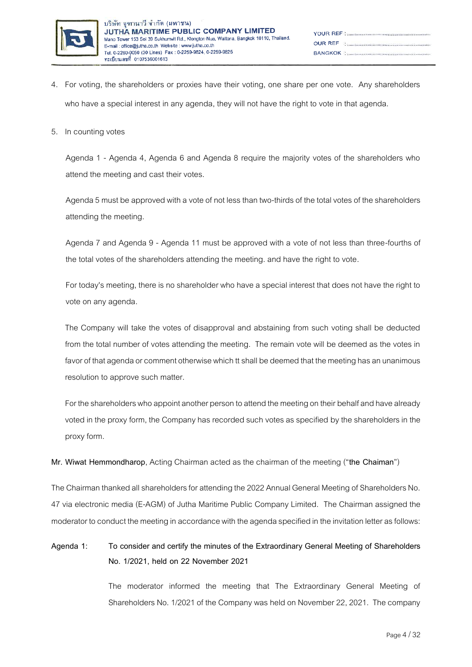

- 4. For voting, the shareholders or proxies have their voting, one share per one vote. Any shareholders who have a special interest in any agenda, they will not have the right to vote in that agenda.
- 5. In counting votes

Agenda 1 - Agenda 4, Agenda 6 and Agenda 8 require the majority votes of the shareholders who attend the meeting and cast their votes.

Agenda 5 must be approved with a vote of not less than two-thirds of the total votes of the shareholders attending the meeting.

Agenda 7 and Agenda 9 - Agenda 11 must be approved with a vote of not less than three-fourths of the total votes of the shareholders attending the meeting. and have the right to vote.

For today's meeting, there is no shareholder who have a special interest that does not have the right to vote on any agenda.

The Company will take the votes of disapproval and abstaining from such voting shall be deducted from the total number of votes attending the meeting. The remain vote will be deemed as the votes in favor of that agenda or comment otherwise which tt shall be deemed that the meeting has an unanimous resolution to approve such matter.

For the shareholders who appoint another person to attend the meeting on their behalf and have already voted in the proxy form, the Company has recorded such votes as specified by the shareholders in the proxy form.

**Mr. Wiwat Hemmondharop**, Acting Chairman acted as the chairman of the meeting ("**the Chaiman**")

The Chairman thanked all shareholders for attending the 2022 Annual General Meeting of Shareholders No. 47 via electronic media (E-AGM) of Jutha Maritime Public Company Limited. The Chairman assigned the moderator to conduct the meeting in accordance with the agenda specified in the invitation letter as follows:

## **Agenda 1: To consider and certify the minutes of the Extraordinary General Meeting of Shareholders No. 1/2021, held on 22 November 2021**

The moderator informed the meeting that The Extraordinary General Meeting of Shareholders No. 1/2021 of the Company was held on November 22, 2021. The company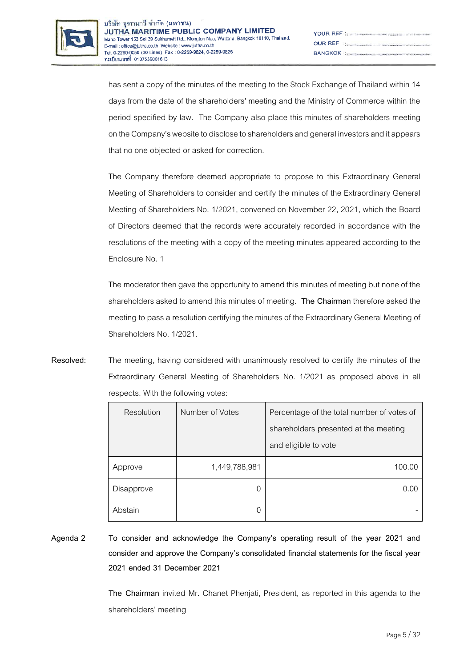

| $\begin{minipage}{.4\linewidth} \begin{tabular}{l} \textbf{OUR REF} \\ \textbf{REF} \end{tabular} \end{minipage}$     |
|-----------------------------------------------------------------------------------------------------------------------|
| <b>BANGKOK : 2006 - 2006 - 2006 - 2006 - 2016 - 2016 - 2016 - 2016 - 2016 - 2016 - 2016 - 2016 - 2016 - 2016 - 20</b> |

has sent a copy of the minutes of the meeting to the Stock Exchange of Thailand within 14 days from the date of the shareholders' meeting and the Ministry of Commerce within the period specified by law. The Company also place this minutes of shareholders meeting on the Company's website to disclose to shareholders and general investors and it appears that no one objected or asked for correction.

The Company therefore deemed appropriate to propose to this Extraordinary General Meeting of Shareholders to consider and certify the minutes of the Extraordinary General Meeting of Shareholders No. 1/2021, convened on November 22, 2021, which the Board of Directors deemed that the records were accurately recorded in accordance with the resolutions of the meeting with a copy of the meeting minutes appeared according to the Enclosure No. 1

The moderator then gave the opportunity to amend this minutes of meeting but none of the shareholders asked to amend this minutes of meeting. **The Chairman**therefore asked the meeting to pass a resolution certifying the minutes of the Extraordinary General Meeting of Shareholders No. 1/2021.

**Resolved:** The meeting, having considered with unanimously resolved to certify the minutes of the Extraordinary General Meeting of Shareholders No. 1/2021 as proposed above in all respects. With the following votes:

| Resolution | Number of Votes | Percentage of the total number of votes of |  |
|------------|-----------------|--------------------------------------------|--|
|            |                 | shareholders presented at the meeting      |  |
|            |                 | and eligible to vote                       |  |
| Approve    | 1,449,788,981   | 100.00                                     |  |
| Disapprove | O               | 0.00                                       |  |
| Abstain    | O               |                                            |  |

**Agenda 2 To consider and acknowledge the Company's operating result of the year 2021 and consider and approve the Company's consolidated financial statements for the fiscal year 2021 ended 31 December 2021**

> **The Chairman** invited Mr. Chanet Phenjati, President, as reported in this agenda to the shareholders' meeting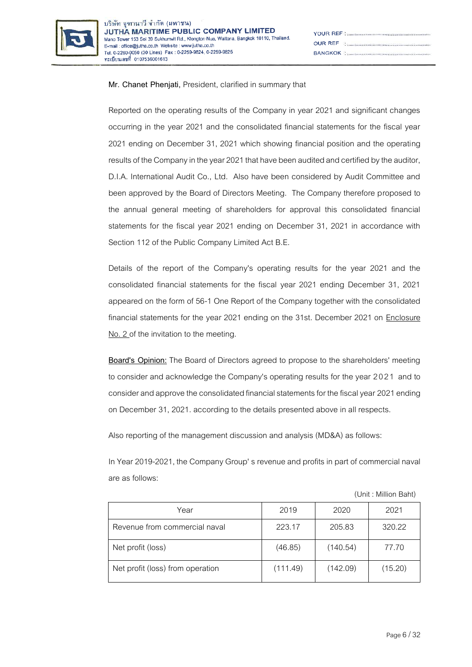

| YOUR REF : <b>www.macadoo.com/www.macadoo.</b> com/www.                                                           |
|-------------------------------------------------------------------------------------------------------------------|
| $\begin{minipage}{.4\linewidth} \begin{tabular}{l} \textbf{OUR REF} \\ \textbf{REF} \end{tabular} \end{minipage}$ |
|                                                                                                                   |

## **Mr. Chanet Phenjati,** President, clarified in summary that

Reported on the operating results of the Company in year 2021 and significant changes occurring in the year 2021 and the consolidated financial statements for the fiscal year 2021 ending on December 31, 2021 which showing financial position and the operating results of the Company in the year 2021 that have been audited and certified by the auditor, D.I.A. International Audit Co., Ltd. Also have been considered by Audit Committee and been approved by the Board of Directors Meeting. The Company therefore proposed to the annual general meeting of shareholders for approval this consolidated financial statements for the fiscal year 2021 ending on December 31, 2021 in accordance with Section 112 of the Public Company Limited Act B.E.

Details of the report of the Company's operating results for the year 2021 and the consolidated financial statements for the fiscal year 2021 ending December 31, 2021 appeared on the form of 56-1 One Report of the Company together with the consolidated financial statements for the year 2021 ending on the 31st. December 2021 on Enclosure No. 2 of the invitation to the meeting.

**Board's Opinion:** The Board of Directors agreed to propose to the shareholders' meeting to consider and acknowledge the Company's operating results for the year 2021 and to consider and approve the consolidated financial statements for the fiscal year 2021 ending on December 31, 2021. according to the details presented above in all respects.

Also reporting of the management discussion and analysis (MD&A) as follows:

In Year 2019-2021, the Company Group' s revenue and profits in part of commercial naval are as follows:

| Year                             | 2019     | 2020     | 2021    |
|----------------------------------|----------|----------|---------|
| Revenue from commercial naval    | 223.17   | 205.83   | 320.22  |
| Net profit (loss)                | (46.85)  | (140.54) | 77.70   |
| Net profit (loss) from operation | (111.49) | (142.09) | (15.20) |

(Unit : Million Baht)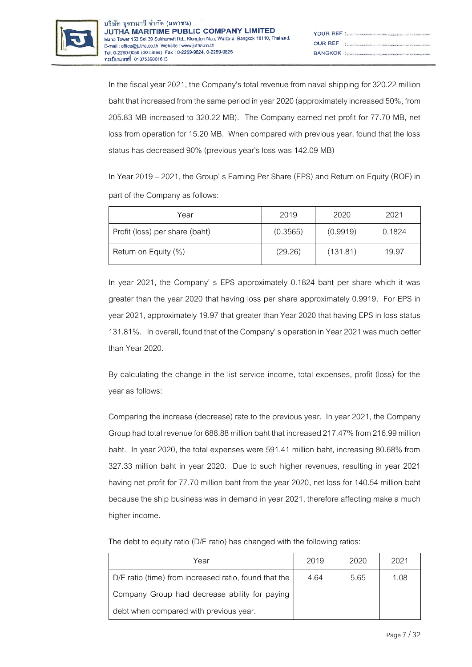

In the fiscal year 2021, the Company's total revenue from naval shipping for 320.22 million baht that increased from the same period in year 2020 (approximately increased 50%, from 205.83 MB increased to 320.22 MB). The Company earned net profit for 77.70 MB, net loss from operation for 15.20 MB. When compared with previous year, found that the loss status has decreased 90% (previous year's loss was 142.09 MB)

In Year 2019 – 2021, the Group' s Earning Per Share (EPS) and Return on Equity (ROE) in part of the Company as follows:

| Year                           | 2019     | 2020     | 2021   |
|--------------------------------|----------|----------|--------|
| Profit (loss) per share (baht) | (0.3565) | (0.9919) | 0.1824 |
| Return on Equity (%)           | (29.26)  | (131.81) | 19.97  |

In year 2021, the Company' s EPS approximately 0.1824 baht per share which it was greater than the year 2020 that having loss per share approximately 0.9919. For EPS in year 2021, approximately 19.97 that greater than Year 2020 that having EPS in loss status 131.81%. In overall, found that of the Company' s operation in Year 2021 was much better than Year 2020.

By calculating the change in the list service income, total expenses, profit (loss) for the year as follows:

Comparing the increase (decrease) rate to the previous year. In year 2021, the Company Group had total revenue for688.88 million baht that increased 217.47% from 216.99 million baht. In year 2020, the total expenses were 591.41 million baht, increasing 80.68% from 327.33 million baht in year 2020. Due to such higher revenues, resulting in year 2021 having net profit for 77.70 million baht from the year 2020, net loss for 140.54 million baht because the ship business was in demand in year 2021, therefore affecting make a much higher income.

The debt to equity ratio (D/E ratio) has changed with the following ratios:

| Year                                                  | 2019 | 2020 | 2021 |
|-------------------------------------------------------|------|------|------|
| D/E ratio (time) from increased ratio, found that the | 4.64 | 5.65 | 1.08 |
| Company Group had decrease ability for paying         |      |      |      |
| debt when compared with previous year.                |      |      |      |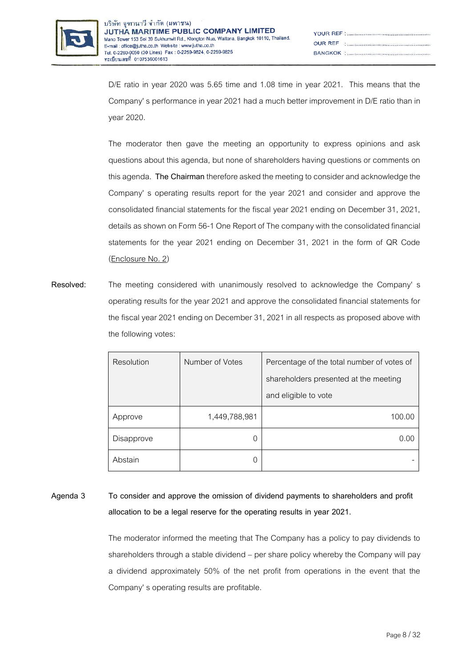

D/E ratio in year 2020 was 5.65 time and 1.08 time in year 2021. This means that the Company' s performance in year 2021 had a much better improvement in D/E ratio than in year 2020.

The moderator then gave the meeting an opportunity to express opinions and ask questions about this agenda, but none of shareholders having questions or comments on thisagenda. **The Chairman**therefore asked the meeting to consider and acknowledge the Company' s operating results report for the year 2021 and consider and approve the consolidated financial statements for the fiscal year 2021 ending on December 31, 2021, details as shown on Form 56-1 One Report of The company with the consolidated financial statements for the year 2021 ending on December 31, 2021 in the form of QR Code (Enclosure No. 2)

**Resolved:** The meeting considered with unanimously resolved to acknowledge the Company' s operating results for the year 2021 and approve the consolidated financial statements for the fiscal year 2021 ending on December 31, 2021 in all respects as proposed above with the following votes:

| Resolution | Number of Votes | Percentage of the total number of votes of<br>shareholders presented at the meeting |
|------------|-----------------|-------------------------------------------------------------------------------------|
|            |                 | and eligible to vote                                                                |
| Approve    | 1,449,788,981   | 100.00                                                                              |
| Disapprove | 0               | 0.00                                                                                |
| Abstain    |                 |                                                                                     |

## **Agenda 3 To consider and approve the omission of dividend payments to shareholders and profit allocation to be a legal reserve for the operating results in year 2021.**

The moderator informed the meeting that The Company has a policy to pay dividends to shareholders through a stable dividend – per share policy whereby the Company will pay a dividend approximately 50% of the net profit from operations in the event that the Company' s operating results are profitable.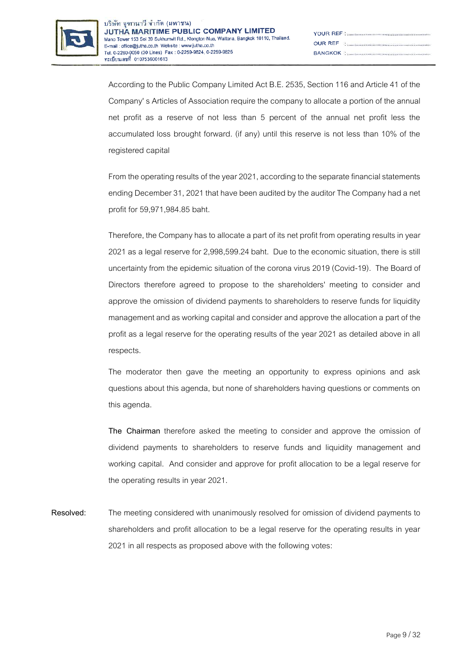

| $\begin{minipage}{.4\linewidth} \begin{tabular}{l} \textbf{OUR REF} \\ \textbf{REF} \end{tabular} \end{minipage}$ |
|-------------------------------------------------------------------------------------------------------------------|
|                                                                                                                   |

According to the Public Company Limited Act B.E. 2535, Section 116 and Article 41 of the Company' s Articles of Association require the company to allocate a portion of the annual net profit as a reserve of not less than 5 percent of the annual net profit less the accumulated loss brought forward. (if any) until this reserve is not less than 10% of the registered capital

From the operating results of the year 2021, according to the separate financial statements ending December 31, 2021 that have been audited by the auditor The Company had a net profit for 59,971,984.85 baht.

Therefore, the Company has to allocate a part of its net profit from operating results in year 2021 as a legal reserve for 2,998,599.24 baht. Due to the economic situation, there is still uncertainty from the epidemic situation of the corona virus 2019 (Covid-19). The Board of Directors therefore agreed to propose to the shareholders' meeting to consider and approve the omission of dividend payments to shareholders to reserve funds for liquidity management and as working capital and consider and approve the allocation a part of the profit as a legal reserve for the operating results of the year 2021 as detailed above in all respects.

The moderator then gave the meeting an opportunity to express opinions and ask questions about this agenda, but none of shareholders having questions or comments on this agenda.

**The Chairman** therefore asked the meeting to consider and approve the omission of dividend payments to shareholders to reserve funds and liquidity management and working capital. And consider and approve for profit allocation to be a legal reserve for the operating results in year 2021.

**Resolved:** The meeting considered with unanimously resolved for omission of dividend payments to shareholders and profit allocation to be a legal reserve for the operating results in year 2021 in all respects as proposed above with the following votes: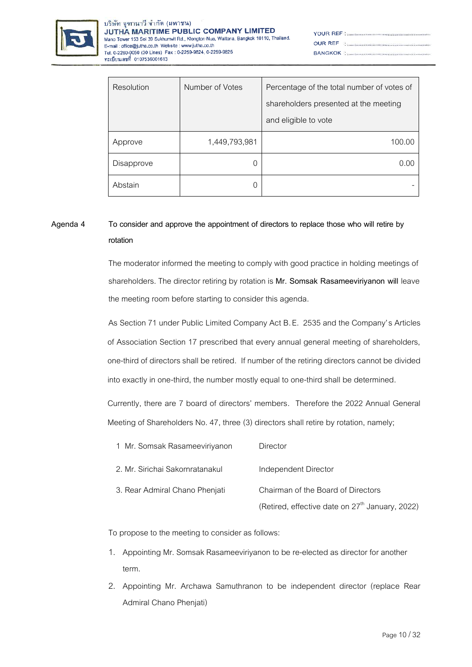

| YOUR REF : <b>www.macadoo.com/www.macadoo.</b> com/www.                                                           |
|-------------------------------------------------------------------------------------------------------------------|
| $\begin{minipage}{.4\linewidth} \begin{tabular}{l} \textbf{OUR REF} \\ \textbf{REF} \end{tabular} \end{minipage}$ |
|                                                                                                                   |

| Resolution | Number of Votes | Percentage of the total number of votes of |
|------------|-----------------|--------------------------------------------|
|            |                 | shareholders presented at the meeting      |
|            |                 | and eligible to vote                       |
| Approve    | 1,449,793,981   | 100.00                                     |
| Disapprove |                 | 0.00                                       |
| Abstain    |                 |                                            |

## **Agenda 4 To consider and approve the appointment of directors to replace those who will retire by rotation**

The moderator informed the meeting to comply with good practice in holding meetings of shareholders. The director retiring by rotation is **Mr. Somsak Rasameeviriyanon will** leave the meeting room before starting to consider this agenda.

As Section 71 under Public Limited Company Act B.E. 2535 and the Company's Articles of Association Section 17 prescribed that every annual general meeting of shareholders, one-third of directors shall be retired. If number of the retiring directors cannot be divided into exactly in one-third, the number mostly equal to one-third shall be determined.

Currently, there are 7 board of directors' members. Therefore the 2022 Annual General Meeting of Shareholders No. 47, three (3) directors shall retire by rotation, namely;

| 1 Mr. Somsak Rasameeviriyanon   | Director                                          |
|---------------------------------|---------------------------------------------------|
| 2. Mr. Sirichai Sakornratanakul | Independent Director                              |
| 3. Rear Admiral Chano Phenjati  | Chairman of the Board of Directors                |
|                                 | (Retired, effective date on $27th$ January, 2022) |

To propose to the meeting to consider as follows:

- 1. Appointing Mr. Somsak Rasameeviriyanon to be re-elected as director for another term.
- 2. Appointing Mr. Archawa Samuthranon to be independent director (replace Rear Admiral Chano Phenjati)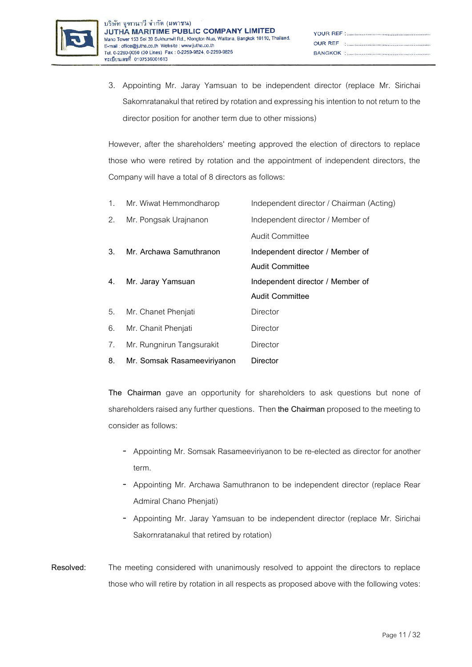

| $\begin{minipage}{.4\linewidth} \textbf{OUR} & \textbf{REF} & \textbf{H} & \textbf{H} & \textbf{H} & \textbf{H} & \textbf{H} & \textbf{H} & \textbf{H} & \textbf{H} & \textbf{H} & \textbf{H} & \textbf{H} & \textbf{H} & \textbf{H} & \textbf{H} & \textbf{H} & \textbf{H} & \textbf{H} & \textbf{H} & \textbf{H} & \textbf{H} & \textbf{H} & \textbf{H} & \textbf{H} & \textbf{H} & \textbf{H} & \textbf{H} & \textbf{H} & \textbf{H$ |
|-----------------------------------------------------------------------------------------------------------------------------------------------------------------------------------------------------------------------------------------------------------------------------------------------------------------------------------------------------------------------------------------------------------------------------------------|
|                                                                                                                                                                                                                                                                                                                                                                                                                                         |

3. Appointing Mr. Jaray Yamsuan to be independent director (replace Mr. Sirichai Sakornratanakul that retired by rotation and expressing his intention to not return to the director position for another term due to other missions)

However, after the shareholders' meeting approved the election of directors to replace those who were retired by rotation and the appointment of independent directors, the Company will have a total of 8 directors as follows:

| 1. | Mr. Wiwat Hemmondharop      | Independent director / Chairman (Acting) |
|----|-----------------------------|------------------------------------------|
| 2. | Mr. Pongsak Urajnanon       | Independent director / Member of         |
|    |                             | Audit Committee                          |
| 3. | Mr. Archawa Samuthranon     | Independent director / Member of         |
|    |                             | <b>Audit Committee</b>                   |
| 4. | Mr. Jaray Yamsuan           | Independent director / Member of         |
|    |                             | <b>Audit Committee</b>                   |
| 5. | Mr. Chanet Phenjati         | Director                                 |
| 6. | Mr. Chanit Phenjati         | Director                                 |
| 7. | Mr. Rungnirun Tangsurakit   | <b>Director</b>                          |
| 8. | Mr. Somsak Rasameeviriyanon | <b>Director</b>                          |

**The Chairman** gave an opportunity for shareholders to ask questions but none of shareholders raised any further questions. Then the Chairman proposed to the meeting to consider as follows:

- Appointing Mr. Somsak Rasameeviriyanon to be re-elected as director for another term.
- Appointing Mr. Archawa Samuthranon to be independent director (replace Rear Admiral Chano Phenjati)
- Appointing Mr. Jaray Yamsuan to be independent director (replace Mr. Sirichai Sakornratanakul that retired by rotation)
- **Resolved:** The meeting considered with unanimously resolved to appoint the directors to replace those who will retire by rotation in all respects as proposed above with the following votes: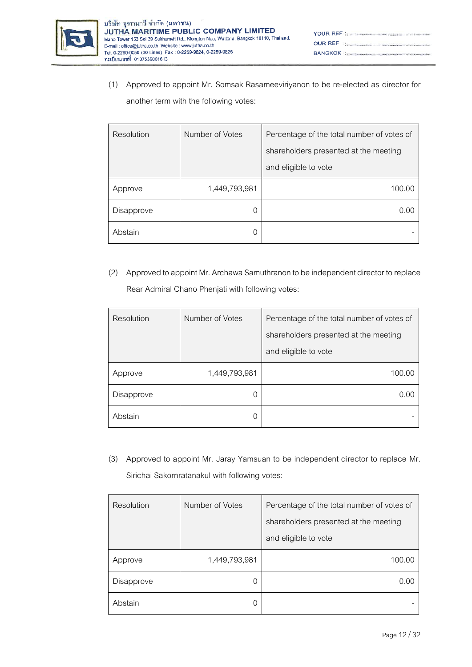

| $\begin{minipage}{.4\linewidth} \begin{tabular}{l} \textbf{OUR REF} \\ \textbf{REF} \end{tabular} \end{minipage}$     |
|-----------------------------------------------------------------------------------------------------------------------|
| <b>BANGKOK : 2006 - 2006 - 2006 - 2006 - 2016 - 2016 - 2016 - 2016 - 2016 - 2016 - 2016 - 2016 - 2016 - 2016 - 20</b> |

(1) Approved to appoint Mr. Somsak Rasameeviriyanon to be re-elected as director for another term with the following votes:

| Resolution | Number of Votes | Percentage of the total number of votes of |
|------------|-----------------|--------------------------------------------|
|            |                 | shareholders presented at the meeting      |
|            |                 | and eligible to vote                       |
| Approve    | 1,449,793,981   | 100.00                                     |
| Disapprove |                 | 0.00                                       |
| Abstain    |                 |                                            |

(2) Approved to appoint Mr. Archawa Samuthranon to be independent director to replace Rear Admiral Chano Phenjati with following votes:

| Resolution | Number of Votes | Percentage of the total number of votes of |
|------------|-----------------|--------------------------------------------|
|            |                 | shareholders presented at the meeting      |
|            |                 | and eligible to vote                       |
| Approve    | 1,449,793,981   | 100.00                                     |
| Disapprove | 0               | 0.00                                       |
| Abstain    | 0               |                                            |

(3) Approved to appoint Mr. Jaray Yamsuan to be independent director to replace Mr. Sirichai Sakornratanakul with following votes:

| Resolution | Number of Votes | Percentage of the total number of votes of |
|------------|-----------------|--------------------------------------------|
|            |                 | shareholders presented at the meeting      |
|            |                 | and eligible to vote                       |
| Approve    | 1,449,793,981   | 100.00                                     |
| Disapprove | 0               | (1)(1)                                     |
| Abstain    | 0               |                                            |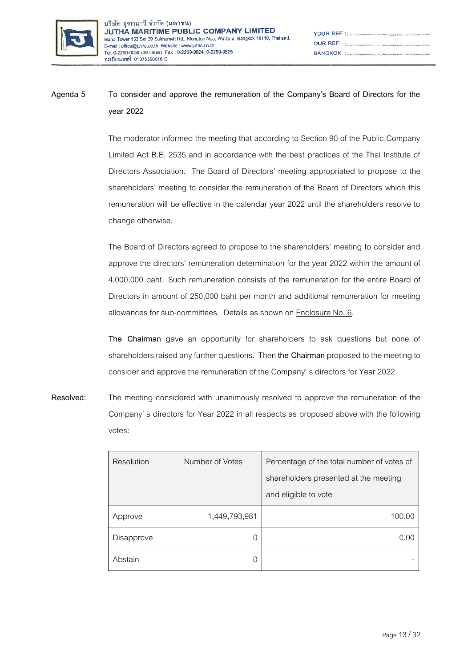

| YOUR REF National According to the continuum continuum of the N                                                   |
|-------------------------------------------------------------------------------------------------------------------|
| $\begin{minipage}{.4\linewidth} \begin{tabular}{l} \textbf{OUR REF} \\ \textbf{REF} \end{tabular} \end{minipage}$ |
|                                                                                                                   |

# **Agenda 5 To consider and approve the remuneration of the Company's Board of Directors for the year 2022**

The moderator informed the meeting that according to Section 90 of the Public Company Limited Act B.E. 2535 and in accordance with the best practices of the Thai Institute of Directors Association. The Board of Directors' meeting appropriated to propose to the shareholders' meeting to consider the remuneration of the Board of Directors which this remuneration will be effective in the calendar year 2022 until the shareholders resolve to change otherwise.

The Board of Directors agreed to propose to the shareholders' meeting to consider and approve the directors' remuneration determination for the year 2022 within the amount of 4,000,000 baht. Such remuneration consists of the remuneration for the entire Board of Directors in amount of 250,000 baht per month and additional remuneration for meeting allowances for sub-committees. Details as shown on Enclosure No. 6.

**The Chairman** gave an opportunity for shareholders to ask questions but none of shareholders raised any further questions. Then **the Chairman** proposed to the meeting to consider and approve the remuneration of the Company' s directors for Year 2022.

**Resolved:** The meeting considered with unanimously resolved to approve the remuneration of the Company' s directors for Year 2022 in all respects as proposed above with the following votes:

| Resolution | Number of Votes | Percentage of the total number of votes of<br>shareholders presented at the meeting<br>and eligible to vote |
|------------|-----------------|-------------------------------------------------------------------------------------------------------------|
|            |                 |                                                                                                             |
| Approve    | 1,449,793,981   | 100.00                                                                                                      |
| Disapprove | $\Omega$        | $( )_1 ( )_1$                                                                                               |
| Abstain    | Ω               |                                                                                                             |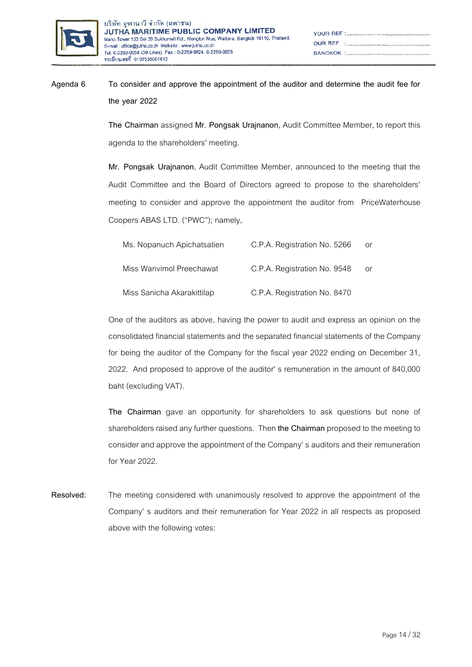

# **Agenda 6 To consider and approve the appointment of the auditor and determine the audit fee for the year 2022**

**The Chairman** assigned **Mr. Pongsak Urajnanon**, Audit Committee Member, to report this agenda to the shareholders' meeting.

**Mr. Pongsak Urajnanon**, Audit Committee Member, announced to the meeting that the Audit Committee and the Board of Directors agreed to propose to the shareholders' meeting to consider and approve the appointment the auditor from PriceWaterhouse Coopers ABAS LTD. ("PWC"); namely,

| Ms. Nopanuch Apichatsatien | C.P.A. Registration No. 5266 | Oľ |
|----------------------------|------------------------------|----|
| Miss Wanvimol Preechawat   | C.P.A. Registration No. 9548 | Oľ |
| Miss Sanicha Akarakittilap | C.P.A. Registration No. 8470 |    |

One of the auditors as above, having the power to audit and express an opinion on the consolidated financial statements and the separated financial statements of the Company for being the auditor of the Company for the fiscal year 2022 ending on December 31, 2022. And proposed to approve of the auditor' s remuneration in the amount of 840,000 baht (excluding VAT).

**The Chairman** gave an opportunity for shareholders to ask questions but none of shareholders raised any further questions. Then **the Chairman** proposed to the meeting to consider and approve the appointment of the Company' s auditors and their remuneration for Year 2022.

**Resolved:** The meeting considered with unanimously resolved to approve the appointment of the Company' s auditors and their remuneration for Year 2022 in all respects as proposed above with the following votes: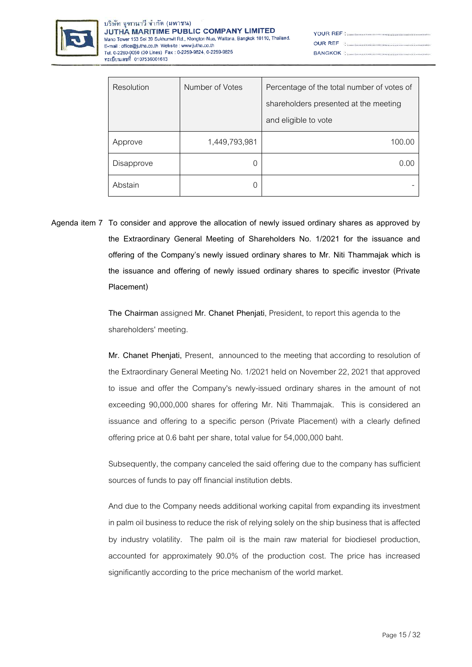

| YOUR REF : <b>www.macadoo.com/www.macadoo.</b> com/www.                                                           |
|-------------------------------------------------------------------------------------------------------------------|
| $\begin{minipage}{.4\linewidth} \begin{tabular}{l} \textbf{OUR REF} \\ \textbf{REF} \end{tabular} \end{minipage}$ |
|                                                                                                                   |

| Resolution | Number of Votes | Percentage of the total number of votes of |
|------------|-----------------|--------------------------------------------|
|            |                 | shareholders presented at the meeting      |
|            |                 | and eligible to vote                       |
| Approve    | 1,449,793,981   | 100.00                                     |
| Disapprove |                 | 0.00                                       |
| Abstain    |                 |                                            |

**Agenda item 7 To consider and approve the allocation of newly issued ordinary shares as approved by the Extraordinary General Meeting of Shareholders No. 1/2021 for the issuance and offering of the Company's newly issued ordinary shares to Mr. Niti Thammajak which is the issuance and offering of newly issued ordinary shares to specific investor (Private Placement)**

> **The Chairman** assigned **Mr. Chanet Phenjati**, President, to report this agenda to the shareholders' meeting.

**Mr. Chanet Phenjati,** Present, announced to the meeting that according to resolution of the Extraordinary General Meeting No. 1/2021 held on November 22, 2021 that approved to issue and offer the Company's newly-issued ordinary shares in the amount of not exceeding 90,000,000 shares for offering Mr. Niti Thammajak. This is considered an issuance and offering to a specific person (Private Placement) with a clearly defined offering price at 0.6 baht per share, total value for 54,000,000 baht.

Subsequently, the company canceled the said offering due to the company has sufficient sources of funds to pay off financial institution debts.

And due to the Company needs additional working capital from expanding its investment in palm oil business to reduce the risk of relying solely on the ship business that is affected by industry volatility. The palm oil is the main raw material for biodiesel production, accounted for approximately 90.0% of the production cost. The price has increased significantly according to the price mechanism of the world market.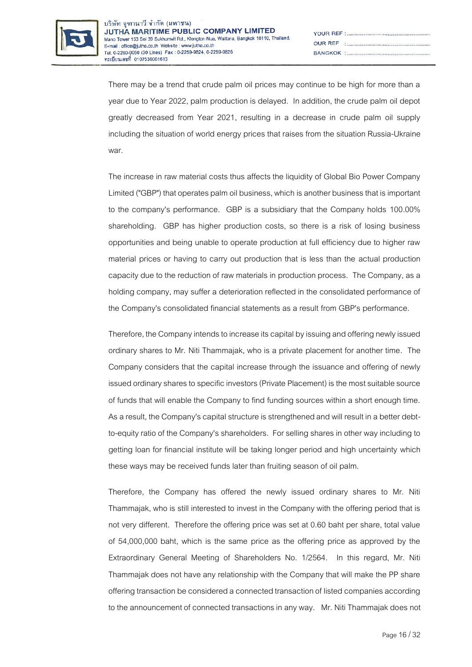

| YOUR REF : <b>www.macadoo.com/www.macadoo.</b> com/www.                                                           |
|-------------------------------------------------------------------------------------------------------------------|
| $\begin{minipage}{.4\linewidth} \begin{tabular}{l} \textbf{OUR REF} \\ \textbf{REF} \end{tabular} \end{minipage}$ |
|                                                                                                                   |

There may be a trend that crude palm oil prices may continue to be high for more than a year due to Year 2022, palm production is delayed. In addition, the crude palm oil depot greatly decreased from Year 2021, resulting in a decrease in crude palm oil supply including the situation of world energy prices that raises from thesituation Russia-Ukraine war.

The increase in raw material costs thus affects the liquidity of Global Bio Power Company Limited ("GBP") that operates palm oil business, which is another business that is important to the company's performance. GBP is a subsidiary that the Company holds 100.00% shareholding. GBP has higher production costs, so there is a risk of losing business opportunities and being unable to operate production at full efficiency due to higher raw material prices or having to carry out production that is less than the actual production capacity due to the reduction of raw materials in production process. The Company, as a holding company, may suffer a deterioration reflected in the consolidated performance of the Company's consolidated financial statements as a result from GBP's performance.

Therefore, the Company intends to increase its capital by issuing and offering newly issued ordinary shares to Mr. Niti Thammajak, who is a private placement for another time. The Company considers that the capital increase through the issuance and offering of newly issued ordinary shares to specific investors (Private Placement) is the most suitable source of funds that will enable the Company to find funding sources within a short enough time. As a result, the Company's capital structure is strengthened and will result in a better debtto-equity ratio of the Company's shareholders. For selling shares in other way including to getting loan for financial institute will be taking longer period and high uncertainty which these ways may be received funds later than fruiting season of oil palm.

Therefore, the Company has offered the newly issued ordinary shares to Mr. Niti Thammajak, who is still interested to invest in the Company with the offering period that is not very different. Therefore the offering price was set at 0.60 baht per share, total value of 54,000,000 baht, which is the same price as the offering price as approved by the Extraordinary General Meeting of Shareholders No. 1/2564. In this regard, Mr. Niti Thammajak does not have any relationship with the Company that will make the PP share offering transaction be considered a connected transaction of listed companies according to the announcement of connected transactions in any way. Mr. Niti Thammajak does not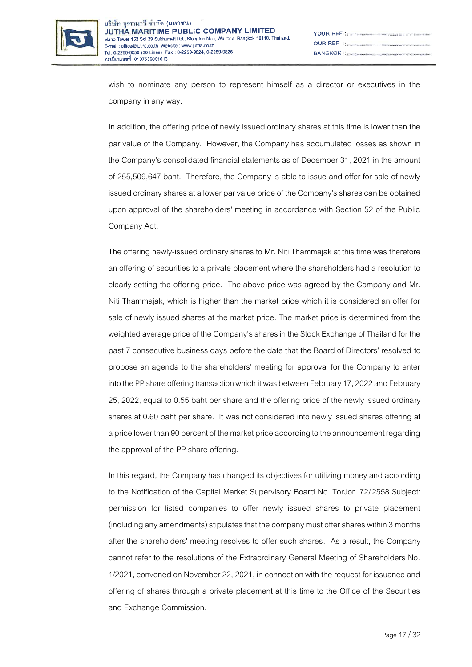

| $\begin{minipage}{.4\linewidth} \textbf{JUR REF} \end{minipage}$ |
|------------------------------------------------------------------|
|                                                                  |

wish to nominate any person to represent himself as a director or executives in the company in any way.

In addition, the offering price of newly issued ordinary shares at this time is lower than the par value of the Company. However, the Company has accumulated losses as shown in the Company's consolidated financial statements as of December 31, 2021 in the amount of 255,509,647 baht. Therefore, the Company is able to issue and offer for sale of newly issued ordinary shares at a lower par value price of the Company's shares can be obtained upon approval of the shareholders' meeting in accordance with Section 52 of the Public Company Act.

The offering newly-issued ordinary shares to Mr. Niti Thammajak at this time was therefore an offering of securities to a private placement where the shareholders had a resolution to clearly setting the offering price. The above price was agreed by the Company and Mr. Niti Thammajak, which is higher than the market price which it is considered an offer for sale of newly issued shares at the market price. The market price is determined from the weighted average price of the Company's shares in the Stock Exchange of Thailand for the past 7 consecutive business days before the date that the Board of Directors' resolved to propose an agenda to the shareholders' meeting for approval for the Company to enter into the PP share offering transaction which it was between February 17, 2022 and February 25, 2022, equal to 0.55 baht per share and the offering price of the newly issued ordinary shares at 0.60 baht per share. It was not considered into newly issued shares offering at a price lower than 90 percent of the market price according to the announcement regarding the approval of the PP share offering.

In this regard, the Company has changed its objectives for utilizing money and according to the Notification of the Capital Market Supervisory Board No. TorJor. 72/2558 Subject: permission for listed companies to offer newly issued shares to private placement (including any amendments) stipulates that the company must offer shares within 3 months after the shareholders' meeting resolves to offer such shares. As a result, the Company cannot refer to the resolutions of the Extraordinary General Meeting of Shareholders No. 1/2021, convened on November 22, 2021, in connection with the request for issuance and offering of shares through a private placement at this time to the Office of the Securities and Exchange Commission.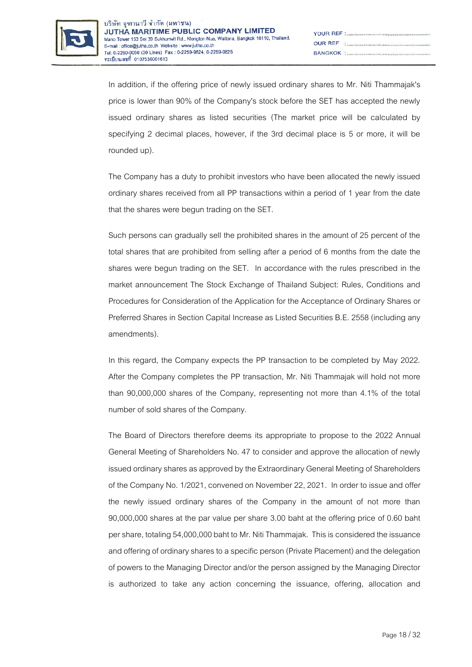

| $\begin{minipage}{.4\linewidth} \begin{tabular}{l} \textbf{OUR REF} \\ \textbf{REF} \end{tabular} \end{minipage}$ |
|-------------------------------------------------------------------------------------------------------------------|
|                                                                                                                   |

In addition, if the offering price of newly issued ordinary shares to Mr. Niti Thammajak's price is lower than 90% of the Company's stock before the SET has accepted the newly issued ordinary shares as listed securities (The market price will be calculated by specifying 2 decimal places, however, if the 3rd decimal place is 5 or more, it will be rounded up).

The Company has a duty to prohibit investors who have been allocated the newly issued ordinary shares received from all PP transactions within a period of 1 year from the date that the shares were begun trading on the SET.

Such persons can gradually sell the prohibited shares in the amount of 25 percent of the total shares that are prohibited from selling after a period of 6 months from the date the shares were begun trading on the SET. In accordance with the rules prescribed in the market announcement The Stock Exchange of Thailand Subject: Rules, Conditions and Procedures for Consideration of the Application for the Acceptance of Ordinary Shares or Preferred Shares in Section Capital Increase as Listed Securities B.E. 2558 (including any amendments).

In this regard, the Company expects the PP transaction to be completed by May 2022. After the Company completes the PP transaction, Mr. Niti Thammajak will hold not more than 90,000,000 shares of the Company, representing not more than 4.1% of the total number of sold shares of the Company.

The Board of Directors therefore deems its appropriate to propose to the 2022 Annual General Meeting of Shareholders No. 47 to consider and approve the allocation of newly issued ordinary shares as approved by the Extraordinary General Meeting of Shareholders of the Company No. 1/2021, convened on November 22, 2021. In order to issue and offer the newly issued ordinary shares of the Company in the amount of not more than 90,000,000 shares at the par value per share 3.00 baht at the offering price of 0.60 baht per share, totaling 54,000,000 baht to Mr. Niti Thammajak. This is considered the issuance and offering of ordinary shares to a specific person (Private Placement) and the delegation of powers to the Managing Director and/or the person assigned by the Managing Director is authorized to take any action concerning the issuance, offering, allocation and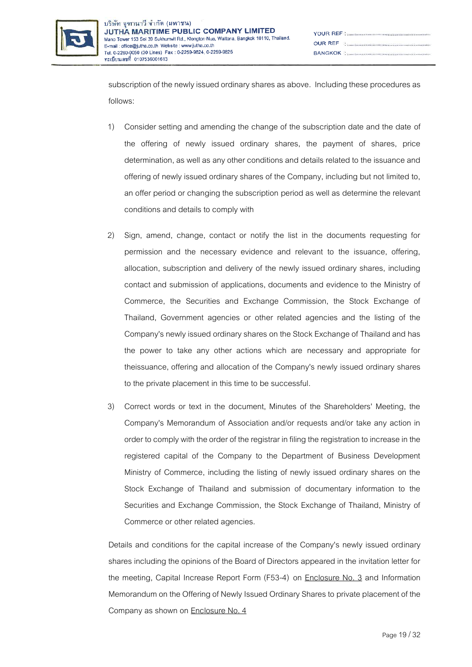

subscription of the newly issued ordinary shares as above. Including these procedures as follows:

- 1) Consider setting and amending the change of the subscription date and the date of the offering of newly issued ordinary shares, the payment of shares, price determination, as well as any other conditions and details related to the issuance and offering of newly issued ordinary shares of the Company, including but not limited to, an offer period or changing the subscription period as well as determine the relevant conditions and details to comply with
- 2) Sign, amend, change, contact or notify the list in the documents requesting for permission and the necessary evidence and relevant to the issuance, offering, allocation, subscription and delivery of the newly issued ordinary shares, including contact and submission of applications, documents and evidence to the Ministry of Commerce, the Securities and Exchange Commission, the Stock Exchange of Thailand, Government agencies or other related agencies and the listing of the Company's newly issued ordinary shares on the Stock Exchange of Thailand and has the power to take any other actions which are necessary and appropriate for theissuance, offering and allocation of the Company's newly issued ordinary shares to the private placement in this time to be successful.
- 3) Correct words or text in the document, Minutes of the Shareholders' Meeting, the Company's Memorandum of Association and/or requests and/or take any action in order to comply with the order of the registrar in filing the registration to increase in the registered capital of the Company to the Department of Business Development Ministry of Commerce, including the listing of newly issued ordinary shares on the Stock Exchange of Thailand and submission of documentary information to the Securities and Exchange Commission, the Stock Exchange of Thailand, Ministry of Commerce or other related agencies.

Details and conditions for the capital increase of the Company's newly issued ordinary shares including the opinions of the Board of Directors appeared in the invitation letter for the meeting, Capital Increase Report Form (F53-4) on Enclosure No. 3 and Information Memorandum on the Offering of Newly Issued Ordinary Shares to private placement of the Company as shown on **Enclosure No. 4**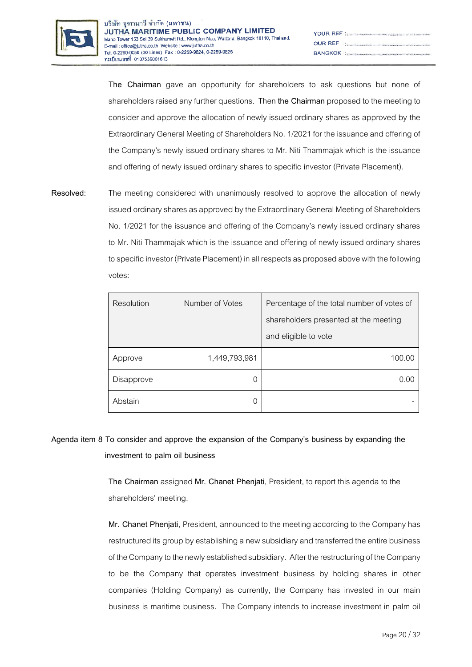

| $\begin{minipage}{.4\linewidth} \begin{tabular}{l} \textbf{OUR REF} \\ \textbf{REF} \end{tabular} \end{minipage}$ |
|-------------------------------------------------------------------------------------------------------------------|
|                                                                                                                   |

**The Chairman** gave an opportunity for shareholders to ask questions but none of shareholders raised any further questions. Then **the Chairman** proposed to the meeting to consider and approve the allocation of newly issued ordinary shares as approved by the Extraordinary General Meeting of Shareholders No. 1/2021 for the issuance and offering of the Company's newly issued ordinary shares to Mr. Niti Thammajak which is the issuance and offering of newly issued ordinary shares to specific investor (Private Placement).

**Resolved:** The meeting considered with unanimously resolved to approve the allocation of newly issued ordinary shares as approved by the Extraordinary General Meeting of Shareholders No. 1/2021 for the issuance and offering of the Company's newly issued ordinary shares to Mr. Niti Thammajak which is the issuance and offering of newly issued ordinary shares to specific investor (Private Placement) in all respects as proposed above with the following votes:

| Resolution | Number of Votes | Percentage of the total number of votes of |
|------------|-----------------|--------------------------------------------|
|            |                 | shareholders presented at the meeting      |
|            |                 | and eligible to vote                       |
| Approve    | 1,449,793,981   | 100.00                                     |
| Disapprove | 0               | 0.00                                       |
| Abstain    | $\Omega$        |                                            |

**Agenda item 8 To consider and approve the expansion of the Company's business by expanding the investment to palm oil business**

> **The Chairman** assigned **Mr. Chanet Phenjati**, President, to report this agenda to the shareholders' meeting.

**Mr. Chanet Phenjati,** President, announced to the meeting according to the Company has restructured its group by establishing a new subsidiary and transferred the entire business of the Company to the newly established subsidiary. After the restructuring of the Company to be the Company that operates investment business by holding shares in other companies (Holding Company) as currently, the Company has invested in our main business is maritime business. The Company intends to increase investment in palm oil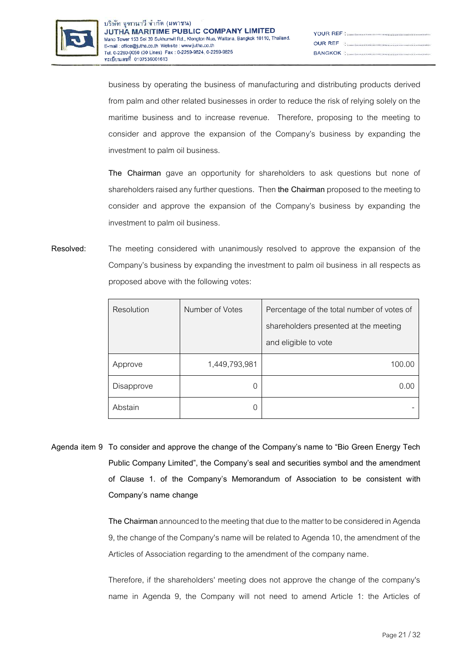

| YOUR REF : <b>www.macadoo.com/www.macadoo.</b> com/www.                                                           |
|-------------------------------------------------------------------------------------------------------------------|
| $\begin{minipage}{.4\linewidth} \begin{tabular}{l} \textbf{OUR REF} \\ \textbf{REF} \end{tabular} \end{minipage}$ |
|                                                                                                                   |

business by operating the business of manufacturing and distributing products derived from palm and other related businesses in order to reduce the risk of relying solely on the maritime business and to increase revenue. Therefore, proposing to the meeting to consider and approve the expansion of the Company's business by expanding the investment to palm oil business.

**The Chairman** gave an opportunity for shareholders to ask questions but none of shareholders raised any further questions. Then **the Chairman** proposed to the meeting to consider and approve the expansion of the Company's business by expanding the investment to palm oil business.

**Resolved:** The meeting considered with unanimously resolved to approve the expansion of the Company's business by expanding the investment to palm oil business in all respects as proposed above with the following votes:

| Resolution | Number of Votes | Percentage of the total number of votes of |
|------------|-----------------|--------------------------------------------|
|            |                 | shareholders presented at the meeting      |
|            |                 | and eligible to vote                       |
| Approve    | 1,449,793,981   | 100.00                                     |
| Disapprove | 0               | 0.00                                       |
| Abstain    |                 |                                            |

**Agenda item 9 To consider and approve the change of the Company's name to "Bio Green Energy Tech Public Company Limited", the Company's seal and securities symbol and the amendment of Clause 1. of the Company's Memorandum of Association to be consistent with Company's name change**

> **The Chairman**announced to the meeting that due to the matter to be considered in Agenda 9, the change of the Company's name will be related to Agenda 10, the amendment of the Articles of Association regarding to the amendment of the company name.

> Therefore, if the shareholders' meeting does not approve the change of the company's name in Agenda 9, the Company will not need to amend Article 1: the Articles of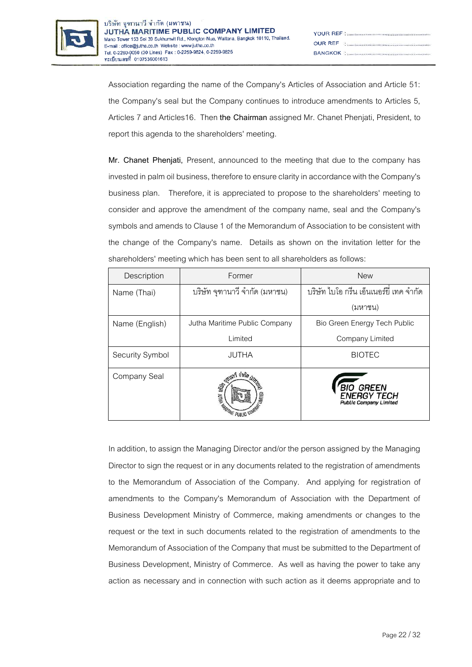

| YOUR REF : <b>www.macadoo.com/www.macadoo.</b> com/www.                                                           |
|-------------------------------------------------------------------------------------------------------------------|
| $\begin{minipage}{.4\linewidth} \begin{tabular}{l} \textbf{OUR REF} \\ \textbf{REF} \end{tabular} \end{minipage}$ |
|                                                                                                                   |

Association regarding the name of the Company's Articles of Association and Article 51: the Company's seal but the Company continues to introduce amendments to Articles 5, Articles 7 and Articles16. Then **the Chairman**assigned Mr. Chanet Phenjati, President, to report this agenda to the shareholders' meeting.

**Mr. Chanet Phenjati,** Present, announced to the meeting that due to the company has invested in palm oil business, therefore to ensure clarity in accordance with the Company's business plan. Therefore, it is appreciated to propose to the shareholders' meeting to consider and approve the amendment of the company name, seal and the Company's symbols and amends to Clause 1 of the Memorandum of Association to be consistent with the change of the Company's name. Details as shown on the invitation letter for the shareholders' meeting which has been sent to all shareholders as follows:

| Description     | Former                        | <b>New</b>                                                      |
|-----------------|-------------------------------|-----------------------------------------------------------------|
| Name (Thai)     | บริษัท จุฑานาวี จำกัด (มหาชน) | ้บริษัท ไบโอ กรีน เอ็นเนอร์ยี่ เทค จำกัด                        |
|                 |                               | (มหาชน)                                                         |
| Name (English)  | Jutha Maritime Public Company | Bio Green Energy Tech Public                                    |
|                 | Limited                       | Company Limited                                                 |
| Security Symbol | <b>JUTHA</b>                  | <b>BIOTEC</b>                                                   |
| Company Seal    | <b>SET LA PORTER PUBLIC</b>   | BIO GREEN<br><b>NFRGY TECH</b><br><b>Public Company Limited</b> |

In addition, to assign the Managing Director and/or the person assigned by the Managing Director to sign the request or in any documents related to the registration of amendments to the Memorandum of Association of the Company. And applying for registration of amendments to the Company's Memorandum of Association with the Department of Business Development Ministry of Commerce, making amendments or changes to the request or the text in such documents related to the registration of amendments to the Memorandum of Association of the Company that must be submitted to the Department of Business Development, Ministry of Commerce. As well as having the power to take any action as necessary and in connection with such action as it deems appropriate and to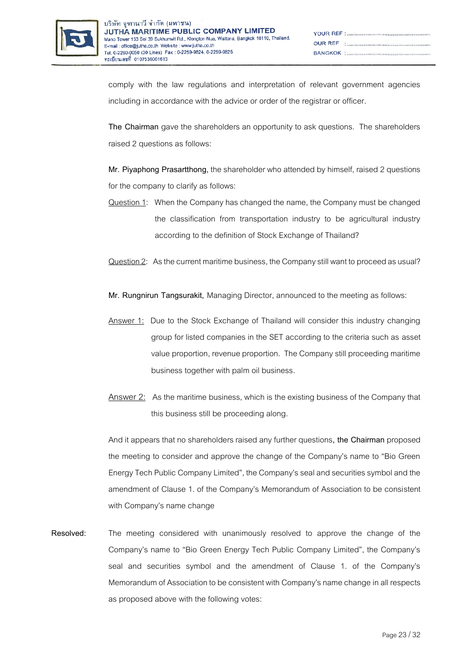

| $\begin{minipage}{.4\linewidth} \begin{tabular}{l} \textbf{OUR REF} \\ \textbf{REF} \end{tabular} \end{minipage}$ |
|-------------------------------------------------------------------------------------------------------------------|
|                                                                                                                   |

comply with the law regulations and interpretation of relevant government agencies including in accordance with the advice or order of the registrar or officer.

**The Chairman** gave the shareholders an opportunity to ask questions. The shareholders raised 2 questions as follows:

**Mr. Piyaphong Prasartthong,** the shareholder who attended by himself, raised 2 questions for the company to clarify as follows:

- Question1: When the Company has changed the name, the Company must be changed the classification from transportation industry to be agricultural industry according to the definition of Stock Exchange of Thailand?
- Question 2: As the current maritime business, the Company still want to proceed as usual?

**Mr. Rungnirun Tangsurakit,** Managing Director, announced to the meeting as follows:

- Answer 1: Due to the Stock Exchange of Thailand will consider this industry changing group for listed companies in the SET according to the criteria such as asset value proportion, revenue proportion. The Company still proceeding maritime business together with palm oil business.
- Answer 2: As the maritime business, which is the existing business of the Company that this business still be proceeding along.

And it appears that no shareholders raised any further questions**, the Chairman** proposed the meeting to consider and approve the change of the Company's name to "Bio Green Energy Tech Public Company Limited", the Company's seal and securities symbol and the amendment of Clause 1. of the Company's Memorandum of Association to be consistent with Company's name change

**Resolved:** The meeting considered with unanimously resolved to approve the change of the Company's name to "Bio Green Energy Tech Public Company Limited", the Company's seal and securities symbol and the amendment of Clause 1. of the Company's Memorandum of Association to be consistent with Company's name change in all respects as proposed above with the following votes: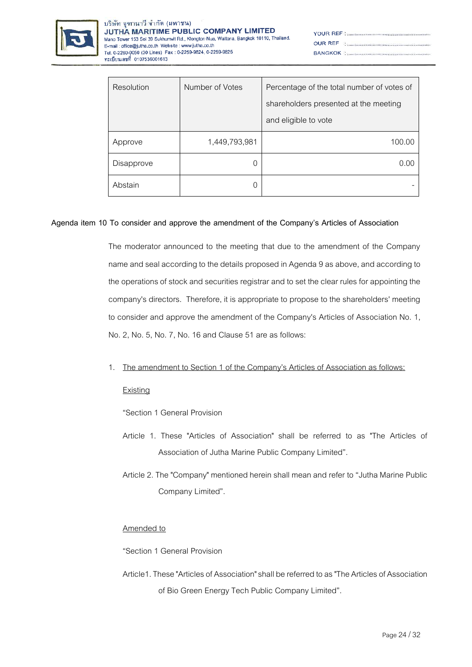

| YOUR REF : <b>www.macadoo.com/www.macadoo.</b> com/www.                                                           |
|-------------------------------------------------------------------------------------------------------------------|
| $\begin{minipage}{.4\linewidth} \begin{tabular}{l} \textbf{OUR REF} \\ \textbf{REF} \end{tabular} \end{minipage}$ |
|                                                                                                                   |

| Resolution | Number of Votes | Percentage of the total number of votes of<br>shareholders presented at the meeting<br>and eligible to vote |
|------------|-----------------|-------------------------------------------------------------------------------------------------------------|
| Approve    | 1,449,793,981   | 100.00                                                                                                      |
| Disapprove |                 | N VV                                                                                                        |
| Abstain    |                 |                                                                                                             |

## **Agenda item 10 To consider and approve the amendment of the Company's Articles of Association**

The moderator announced to the meeting that due to the amendment of the Company name and seal according to the details proposed in Agenda 9 as above, and according to the operations of stock and securities registrar and to set the clear rules for appointing the company's directors. Therefore, it is appropriate to propose to the shareholders' meeting to consider and approve the amendment of the Company's Articles of Association No. 1, No. 2, No. 5, No. 7, No. 16 and Clause 51 are as follows:

#### 1. The amendment to Section 1 of the Company's Articles of Association as follows:

#### Existing

"Section 1 General Provision

- Article 1. These "Articles of Association" shall be referred to as "The Articles of Association of Jutha Marine Public Company Limited".
- Article 2. The "Company" mentioned herein shall mean and refer to "Jutha Marine Public Company Limited".

#### Amended to

"Section 1 General Provision

Article1. These "Articles of Association" shall be referred to as "The Articles of Association of Bio Green Energy Tech Public Company Limited".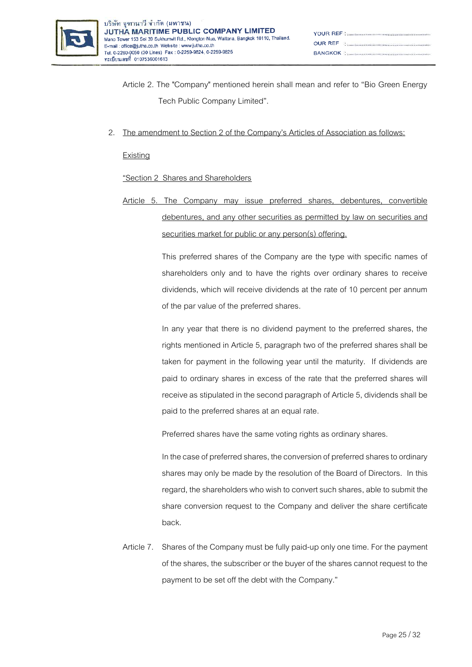

- Article 2. The "Company" mentioned herein shall mean and refer to "Bio Green Energy Tech Public Company Limited".
- 2. The amendment to Section 2 of the Company's Articles of Association as follows:

Existing

"Section 2 Shares and Shareholders

Article 5. The Company may issue preferred shares, debentures, convertible debentures, and any other securities as permitted by law on securities and securities market for public or any person(s) offering.

> This preferred shares of the Company are the type with specific names of shareholders only and to have the rights over ordinary shares to receive dividends, which will receive dividends at the rate of 10 percent per annum of the par value of the preferred shares.

> In any year that there is no dividend payment to the preferred shares, the rights mentioned in Article 5, paragraph two of the preferred shares shall be taken for payment in the following year until the maturity. If dividends are paid to ordinary shares in excess of the rate that the preferred shares will receive as stipulated in the second paragraph of Article 5, dividends shall be paid to the preferred shares at an equal rate.

Preferred shares have the same voting rights as ordinary shares.

In the case of preferred shares, the conversion of preferred shares to ordinary shares may only be made by the resolution of the Board of Directors. In this regard, the shareholders who wish to convert such shares, able to submit the share conversion request to the Company and deliver the share certificate back.

Article 7. Shares of the Company must be fully paid-up only one time. For the payment of the shares, the subscriber or the buyer of the shares cannot request to the payment to be set off the debt with the Company."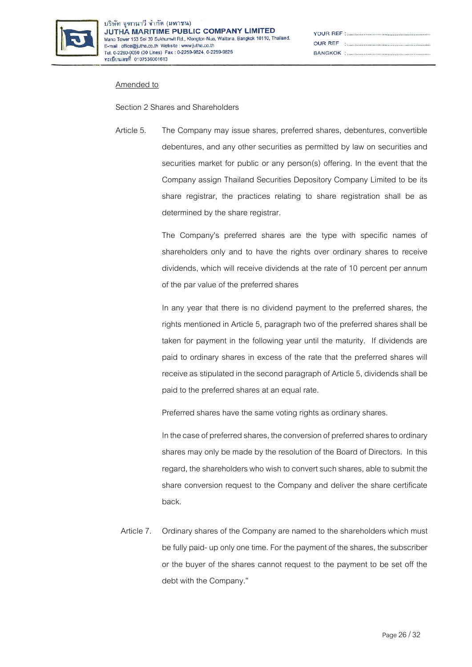

| $\begin{minipage}{.4\linewidth} \begin{tabular}{l} \textbf{OUR REF} \\ \textbf{1} \end{tabular} \end{minipage}$ |
|-----------------------------------------------------------------------------------------------------------------|
|                                                                                                                 |

#### Amended to

Section 2 Shares and Shareholders

Article 5. The Company may issue shares, preferred shares, debentures, convertible debentures, and any other securities as permitted by law on securities and securities market for public or any person(s) offering. In the event that the Company assign Thailand Securities Depository Company Limited to be its share registrar, the practices relating to share registration shall be as determined by the share registrar.

> The Company's preferred shares are the type with specific names of shareholders only and to have the rights over ordinary shares to receive dividends, which will receive dividends at the rate of 10 percent per annum of the par value of the preferred shares

> In any year that there is no dividend payment to the preferred shares, the rights mentioned in Article 5, paragraph two of the preferred shares shall be taken for payment in the following year until the maturity. If dividends are paid to ordinary shares in excess of the rate that the preferred shares will receive as stipulated in the second paragraph of Article 5, dividends shall be paid to the preferred shares at an equal rate.

Preferred shares have the same voting rights as ordinary shares.

In the case of preferred shares, the conversion of preferred shares to ordinary shares may only be made by the resolution of the Board of Directors. In this regard, the shareholders who wish to convert such shares, able to submit the share conversion request to the Company and deliver the share certificate back.

Article 7. Ordinary shares of the Company are named to the shareholders which must be fully paid-up only one time. For the payment of the shares, the subscriber or the buyer of the shares cannot request to the payment to be set off the debt with the Company."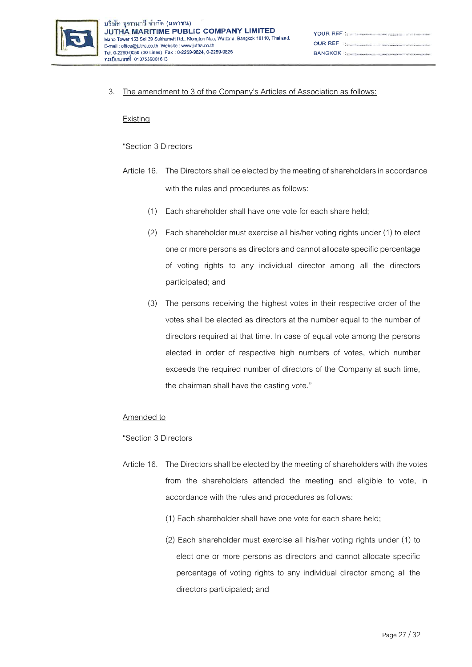

3. The amendment to 3 of the Company's Articles of Association as follows:

#### **Existing**

"Section 3 Directors

- Article 16. The Directors shall be elected by the meeting of shareholders in accordance with the rules and procedures as follows:
	- (1) Each shareholder shall have one vote for each share held;
	- (2) Each shareholder must exercise all his/her voting rights under (1) to elect one or more persons as directors and cannot allocate specific percentage of voting rights to any individual director among all the directors participated; and
	- (3) The persons receiving the highest votes in their respective order of the votes shall be elected as directors at the number equal to the number of directors required at that time. In case of equal vote among the persons elected in order of respective high numbers of votes, which number exceeds the required number of directors of the Company at such time, the chairman shall have the casting vote."

#### Amended to

"Section 3 Directors

- Article 16. The Directors shall be elected by the meeting of shareholders with the votes from the shareholders attended the meeting and eligible to vote, in accordance with the rules and procedures as follows:
	- (1) Each shareholder shall have one vote for each share held;
	- (2) Each shareholder must exercise all his/her voting rights under (1) to elect one or more persons as directors and cannot allocate specific percentage of voting rights to any individual director among all the directors participated; and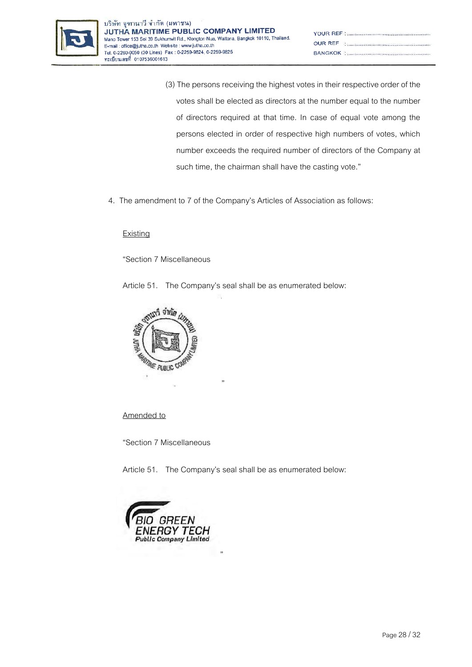

- (3) The persons receiving the highest votes in their respective order of the votes shall be elected as directors at the number equal to the number of directors required at that time. In case of equal vote among the persons elected in order of respective high numbers of votes, which number exceeds the required number of directors of the Company at such time, the chairman shall have the casting vote."
- 4. The amendment to 7 of the Company's Articles of Association as follows:

## **Existing**

"Section 7 Miscellaneous

Article 51. The Company's seal shall be as enumerated below:

"



## Amended to

"Section 7 Miscellaneous

Article 51. The Company's seal shall be as enumerated below:

"

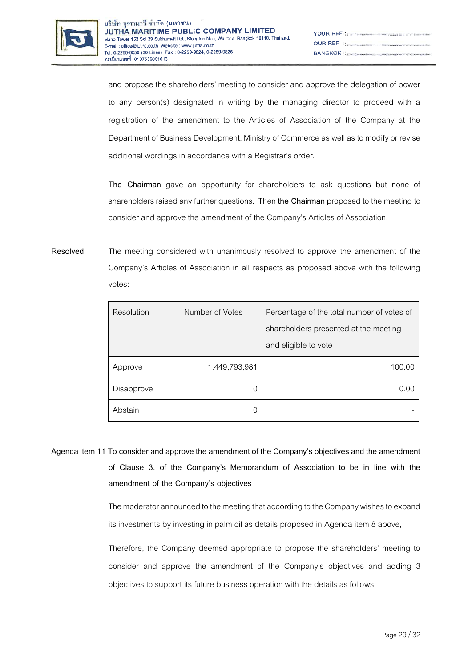

| $\begin{minipage}{.4\linewidth} \begin{tabular}{l} \textbf{OUR REF} \\ \textbf{REF} \end{tabular} \end{minipage}$     |
|-----------------------------------------------------------------------------------------------------------------------|
| <b>BANGKOK : 2006 - 2006 - 2006 - 2006 - 2016 - 2016 - 2016 - 2016 - 2016 - 2016 - 2016 - 2016 - 2016 - 2016 - 20</b> |

and propose the shareholders' meeting to consider and approve the delegation of power to any person(s) designated in writing by the managing director to proceed with a registration of the amendment to the Articles of Association of the Company at the Department of Business Development, Ministry of Commerce as well as to modify or revise additional wordings in accordance with a Registrar's order.

**The Chairman** gave an opportunity for shareholders to ask questions but none of shareholders raised any further questions. Then **the Chairman** proposed to the meeting to consider and approve the amendment of the Company's Articles of Association.

**Resolved:** The meeting considered with unanimously resolved to approve the amendment of the Company's Articles of Association in all respects as proposed above with the following votes:

| Resolution | Number of Votes | Percentage of the total number of votes of |
|------------|-----------------|--------------------------------------------|
|            |                 | shareholders presented at the meeting      |
|            |                 | and eligible to vote                       |
| Approve    | 1,449,793,981   | 100.00                                     |
| Disapprove | C               | (1)(1)                                     |
| Abstain    | C               |                                            |

**Agenda item 11 To consider and approve the amendment of the Company's objectives and the amendment of Clause 3. of the Company's Memorandum of Association to be in line with the amendment of the Company's objectives**

> The moderator announced to the meeting that according to the Company wishes to expand its investments by investing in palm oil as details proposed in Agenda item 8 above,

> Therefore, the Company deemed appropriate to propose the shareholders' meeting to consider and approve the amendment of the Company's objectives and adding 3 objectives to support its future business operation with the details as follows: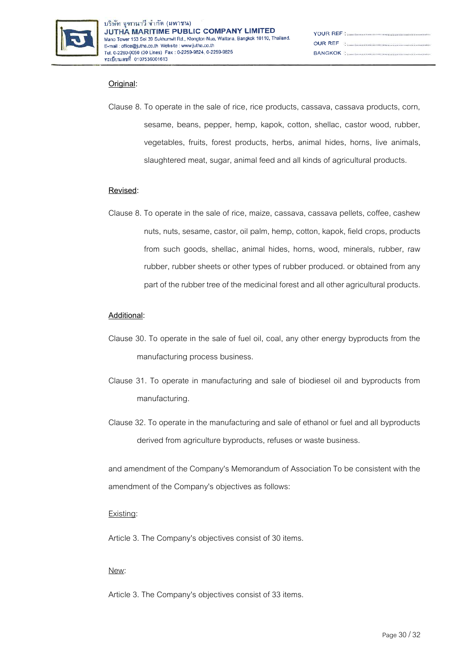

| $\begin{minipage}{.4\linewidth} \begin{tabular}{l} \textbf{OUR} & \textbf{REF} \\ \textbf{C} & \textbf{1} \\ \textbf{1} & \textbf{1} \\ \textbf{2} & \textbf{1} \\ \textbf{3} & \textbf{2} \\ \textbf{4} & \textbf{3} \\ \textbf{5} & \textbf{1} \\ \textbf{6} & \textbf{1} \\ \textbf{7} & \textbf{1} \\ \textbf{8} & \textbf{1} \\ \textbf{9} & \textbf{1} \\ \textbf{10} & \textbf{1} \\ \textbf{11} & \textbf{1} \\ \textbf{12} & \textbf{1} \\ \$ |
|--------------------------------------------------------------------------------------------------------------------------------------------------------------------------------------------------------------------------------------------------------------------------------------------------------------------------------------------------------------------------------------------------------------------------------------------------------|
|                                                                                                                                                                                                                                                                                                                                                                                                                                                        |

## **Original:**

Clause 8. To operate in the sale of rice, rice products, cassava, cassava products, corn, sesame, beans, pepper, hemp, kapok, cotton, shellac, castor wood, rubber, vegetables, fruits, forest products, herbs, animal hides, horns, live animals, slaughtered meat, sugar, animal feed and all kinds of agricultural products.

## **Revised:**

Clause 8. To operate in the sale of rice, maize, cassava, cassava pellets, coffee, cashew nuts, nuts, sesame, castor, oil palm, hemp, cotton, kapok, field crops, products from such goods, shellac, animal hides, horns, wood, minerals, rubber, raw rubber, rubber sheets or other types of rubber produced. or obtained from any part of the rubber tree of the medicinal forest and all other agricultural products.

## **Additional:**

- Clause 30. To operate in the sale of fuel oil, coal, any other energy byproducts from the manufacturing process business.
- Clause 31. To operate in manufacturing and sale of biodiesel oil and byproducts from manufacturing.
- Clause 32. To operate in the manufacturing and sale of ethanol or fuel and all byproducts derived from agriculture byproducts, refuses or waste business.

and amendment of the Company's Memorandum of Association To be consistent with the amendment of the Company's objectives as follows:

#### Existing:

Article 3. The Company's objectives consist of 30 items.

#### New:

Article 3. The Company's objectives consist of 33 items.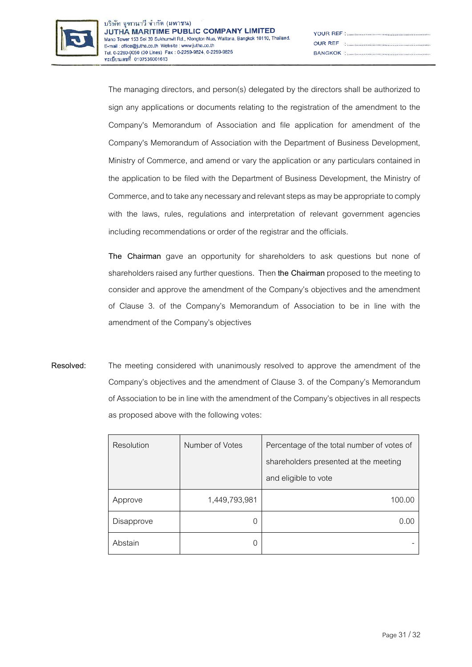

| YOUR REF National According to the continuum continuum of the N                                                 |
|-----------------------------------------------------------------------------------------------------------------|
| $\begin{minipage}{.4\linewidth} \begin{tabular}{l} \textbf{OUR REF} \\ \textbf{1} \end{tabular} \end{minipage}$ |
|                                                                                                                 |

The managing directors, and person(s) delegated by the directors shall be authorized to sign any applications or documents relating to the registration of the amendment to the Company's Memorandum of Association and file application for amendment of the Company's Memorandum of Association with the Department of Business Development, Ministry of Commerce, and amend or vary the application or any particulars contained in the application to be filed with the Department of Business Development, the Ministry of Commerce, and to take any necessary and relevant steps as may be appropriate to comply with the laws, rules, regulations and interpretation of relevant government agencies including recommendations or order of the registrar and the officials.

**The Chairman** gave an opportunity for shareholders to ask questions but none of shareholders raised any further questions. Then **the Chairman** proposed to the meeting to consider and approve the amendment of the Company's objectives and the amendment of Clause 3. of the Company's Memorandum of Association to be in line with the amendment of the Company's objectives

**Resolved:** The meeting considered with unanimously resolved to approve the amendment of the Company's objectives and the amendment of Clause 3. of the Company's Memorandum of Association to be in line with the amendment of the Company's objectives in all respects as proposed above with the following votes:

| Resolution | Number of Votes | Percentage of the total number of votes of |
|------------|-----------------|--------------------------------------------|
|            |                 | shareholders presented at the meeting      |
|            |                 | and eligible to vote                       |
| Approve    | 1,449,793,981   | 100.00                                     |
| Disapprove | 0               | 0.00                                       |
| Abstain    |                 |                                            |